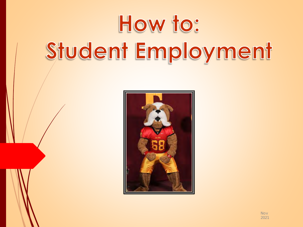# How to: Student Employment



Nov 2021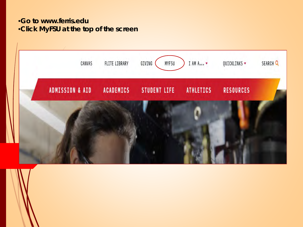#### •**Go to www.ferris.edu**  •**Click MyFSU at the top of the screen**

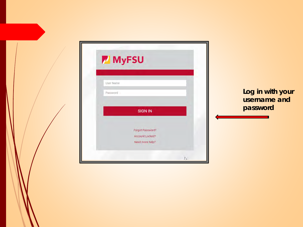| <b>MyFSU</b>                                           |                                  |
|--------------------------------------------------------|----------------------------------|
| User Name<br>Password                                  | Log in with your<br>username and |
| <b>SIGN IN</b>                                         | password                         |
| Forgot Password?<br>Account Locked?<br>Need more help? |                                  |
| $\sum$                                                 |                                  |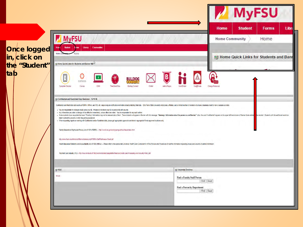|                                                     | <b>MyFSU</b>                                                                                                                                                                                                                                                                                                                                                                                                                                                                                                                                                                                                                                                                                                                                                                                                                                                                                                                                                                                                                                                                                                                                                                                                                                                                                                                     | <b>MyFSU</b><br>Home<br><b>Forms</b><br>Libr<br><b>Student</b><br><b>Home Community</b><br>Home |
|-----------------------------------------------------|----------------------------------------------------------------------------------------------------------------------------------------------------------------------------------------------------------------------------------------------------------------------------------------------------------------------------------------------------------------------------------------------------------------------------------------------------------------------------------------------------------------------------------------------------------------------------------------------------------------------------------------------------------------------------------------------------------------------------------------------------------------------------------------------------------------------------------------------------------------------------------------------------------------------------------------------------------------------------------------------------------------------------------------------------------------------------------------------------------------------------------------------------------------------------------------------------------------------------------------------------------------------------------------------------------------------------------|-------------------------------------------------------------------------------------------------|
| Once logged<br>in, click on<br>the "Student"<br>taþ | Student<br><b>Forms</b><br>Library<br><b>Communities</b><br>Hom:<br><b>Home Co</b><br>Home<br>Home Quick Links for Students and Banner INB<br>٥<br>B<br>E<br>canvas<br>Symptom Checker<br>E-Bill<br>Canvas<br><b>TimeClock Plus</b><br><b>Buildog Connect</b><br>F.Mail<br><b>Admin Pages</b><br><b>HandShak</b><br>You@Ferri<br><b>EE Confidential and Restricted Data Reminder - 12/11/16</b><br>Confidential and Restricted data such as FERPA, HIPAA, and PCI, etc. require regular notification reminders about protecting that data. Only Ferris State University employees, affiliates, and a limited number of vendors wh                                                                                                                                                                                                                                                                                                                                                                                                                                                                                                                                                                                                                                                                                                | Home Quick Links for Students and Bann<br>۵<br>Change Passwort                                  |
|                                                     | You are responsible for changes made using your ID. Please do not share your ID or passwords with anyone.<br>. Any information you enter or change will be effective immediately, unless otherwise noted. You are responsible for any such entries.<br>· Some students have requested that even "Directory" information may not be released about them. These students will appear in Banner with this message, "Warning: Information about the person is confidential." Also, the wo<br>need to present a picture ID when requesting assistance.<br>. When requesting reports or working with Confidential and/or Restricted data, please get appropriate approvals and store in appropriate Ferris approved locations only.<br>Family Educational Rights and Privacy Act of 1974 (FERPA) - http://www2.ed.gov/policy/gen/guid/fpco/ferpa/index.html<br>http://www.ferris.edu/htmls/staff/forms/datasecurity/FERPA-Staff-Reference-Sheet.pdf<br>Health Insurance Portability and Accountability Act of 1996 (HIPAA) - Please refer to the appropriate University Health Care Component's HIPAA Policies and Procedures for further information regarding privacy and security<br>Payment Card Industry (PCI) - http://www.ferris.edu/HTMLS/administration/buspolletter/financial/Credit-Card-Processing-And-Security-Policy.pdf | he student. Students with this additional restriction                                           |
|                                                     | <b>ENVAC</b><br><b>EE University Directory</b><br>Kivuto<br>Find a Faculty/Staff Person<br>Find Reset<br>Find a Person by Department<br>Find Reset                                                                                                                                                                                                                                                                                                                                                                                                                                                                                                                                                                                                                                                                                                                                                                                                                                                                                                                                                                                                                                                                                                                                                                               |                                                                                                 |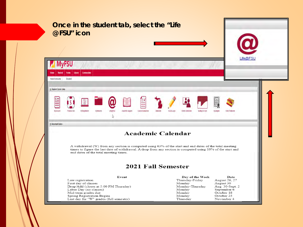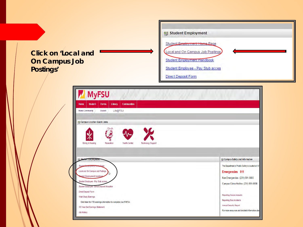#### **Click on 'Local and On Campus Job Postings'**



| Library<br><b>Communities</b><br>Home<br><b>Student</b><br>Forms                                  |                                                                                                                             |
|---------------------------------------------------------------------------------------------------|-----------------------------------------------------------------------------------------------------------------------------|
| Life@FSU<br><b>Home Community</b><br>Student                                                      |                                                                                                                             |
| B Campus Location Quick Links                                                                     |                                                                                                                             |
|                                                                                                   |                                                                                                                             |
|                                                                                                   |                                                                                                                             |
| <b>Dining &amp; Housing</b><br>Recreation<br><b>Health Center</b><br><b>Technology Support</b>    |                                                                                                                             |
|                                                                                                   |                                                                                                                             |
|                                                                                                   |                                                                                                                             |
| <b>EE Student Employment</b>                                                                      | <b>EE</b> Campus Safety and Information                                                                                     |
| Student Employment Home Page                                                                      |                                                                                                                             |
| Local and On Campus Job Postings                                                                  | Emergencies 911                                                                                                             |
| udent Employment Handbook                                                                         | Non Emergencies (231) 591-5000                                                                                              |
| Student Employee - Pay Stub access                                                                |                                                                                                                             |
| Student Employee - Direct Deposit Allocation                                                      |                                                                                                                             |
| <b>Direct Deposit Form</b>                                                                        | <b>Reporting Sexual Assaults</b>                                                                                            |
| Work Study Earnings                                                                               | The Department of Public Safety is located at 13'<br>Campus Crime Hotline (231) 591-5900<br><b>Reporting Bias Incidents</b> |
| Click here for YTD earnings information to complete your FAFSA:<br>W2 Year End Earnings Statement | <b>Annual Security Report</b>                                                                                               |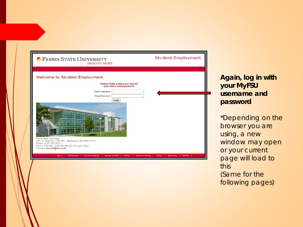| <b>7 FERRIS STATE UNIVERSITY</b><br><b>IMAGINE MORE</b>                                                                                                                                   | <b>Student Employment</b>                                         |
|-------------------------------------------------------------------------------------------------------------------------------------------------------------------------------------------|-------------------------------------------------------------------|
| Welcome to Student Employment.<br><b>Please login using your MyFSU</b><br>user name and password.<br>Enter Username:                                                                      |                                                                   |
| Enter Password:<br>Login<br><b>Ferris State University</b><br>1201 S. State St., CSS 101, Big Rapids, MI 49307-2714<br>Phone: (231) 591-2012                                              |                                                                   |
| Hours: 8:00 AM - 5:00 PM, Monday through Friday<br>Contact: stuempl@ferris.edu<br><b>Current Students</b><br><b>Faculty &amp; Staff</b><br><b>Admissions</b><br><b>Visitors</b><br>Ferris | Online<br>Searching<br><b>MyFSU</b><br><b>Alumni &amp; Giving</b> |

**Again, log in with your MyFSU username and password**

\*Depending on the browser you are using, a new window may open or your current page will load to this (Same for the following pages)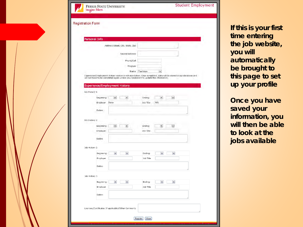| <b>Registration Form</b>             |                                                                                                                                                                                                        |                      |                          |                       |  |
|--------------------------------------|--------------------------------------------------------------------------------------------------------------------------------------------------------------------------------------------------------|----------------------|--------------------------|-----------------------|--|
|                                      |                                                                                                                                                                                                        |                      |                          |                       |  |
| Personal Info                        |                                                                                                                                                                                                        |                      |                          |                       |  |
|                                      | Address (Steet, City, State, Zip)                                                                                                                                                                      |                      |                          |                       |  |
|                                      | Second Address                                                                                                                                                                                         |                      |                          |                       |  |
|                                      | Phone/Cell                                                                                                                                                                                             |                      |                          |                       |  |
|                                      | Program                                                                                                                                                                                                |                      |                          |                       |  |
|                                      |                                                                                                                                                                                                        | Status Freshman      | $\mathbf{\underline{v}}$ |                       |  |
|                                      | Experience/Employment History section is not mandatory. Once completed, data will be stored in our database and<br>will not have to be completed again unless you need/want to update the information. |                      |                          |                       |  |
| <b>Experience/Employment History</b> |                                                                                                                                                                                                        |                      |                          |                       |  |
| Job History 1:                       |                                                                                                                                                                                                        |                      |                          |                       |  |
| Beginning:                           | $\boldsymbol{\times}$<br>×                                                                                                                                                                             | Ending:              | ×                        | $\boldsymbol{\omega}$ |  |
| Employer                             | None                                                                                                                                                                                                   | Job Title            | N/A                      |                       |  |
|                                      |                                                                                                                                                                                                        |                      |                          |                       |  |
| Duties                               |                                                                                                                                                                                                        |                      |                          |                       |  |
| Job History 2:                       |                                                                                                                                                                                                        |                      |                          |                       |  |
| Beginning:                           | M<br>×                                                                                                                                                                                                 | Ending:              | ×.                       | (M)                   |  |
| Employer                             |                                                                                                                                                                                                        | Job Title            |                          |                       |  |
| Duties                               |                                                                                                                                                                                                        |                      |                          |                       |  |
|                                      |                                                                                                                                                                                                        |                      |                          |                       |  |
| Job History 2:                       |                                                                                                                                                                                                        |                      |                          |                       |  |
| Beginning:<br>Employer               | $\checkmark$<br>$\check{}$                                                                                                                                                                             | Ending:<br>Job Title | $\checkmark$             | $\checkmark$          |  |
|                                      |                                                                                                                                                                                                        |                      |                          |                       |  |
| Duties                               |                                                                                                                                                                                                        |                      |                          |                       |  |
| Job History 3:                       |                                                                                                                                                                                                        |                      |                          |                       |  |
| Beginning:                           | $\boldsymbol{\mathsf{v}}$<br>$\mathbf{v}$                                                                                                                                                              | Ending:              | $\blacktriangledown$     | $\vert$ $\vert$       |  |
| Employer                             |                                                                                                                                                                                                        | Job Title            |                          |                       |  |
| Duties                               |                                                                                                                                                                                                        |                      |                          |                       |  |
|                                      |                                                                                                                                                                                                        |                      |                          |                       |  |
|                                      |                                                                                                                                                                                                        |                      |                          |                       |  |

**If this is your first time entering the job website, you will automatically be brought to this page to set up your profile**

**Once you have saved your information, you will then be able to look at the jobs available**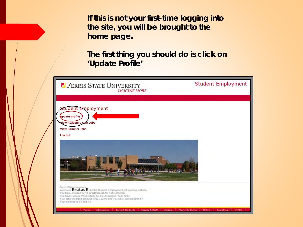**If this is not your first-time logging into the site, you will be brought to the home page.** 

**The first thing you should do is click on 'Update Profile'**

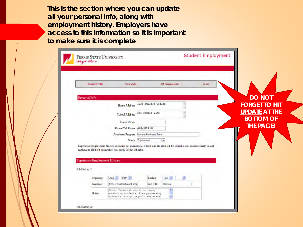**This is the section where you can update all your personal info, along with employment history. Employers have access to this information so it is important to make sure it is complete**

| <b>Undate Profile</b>                | View Jobs                                                                                                                                                                                    |                                        | Off Campus Jobs | Log out |  |                      |
|--------------------------------------|----------------------------------------------------------------------------------------------------------------------------------------------------------------------------------------------|----------------------------------------|-----------------|---------|--|----------------------|
|                                      |                                                                                                                                                                                              |                                        |                 |         |  |                      |
| Personal Info                        |                                                                                                                                                                                              |                                        |                 |         |  | <b>DO NOT</b>        |
|                                      | Home Address                                                                                                                                                                                 | 1234 Bulldeg Cirloe                    |                 |         |  | <b>FORGET TO HIT</b> |
|                                      | School Address                                                                                                                                                                               | 555 Ferris Lane                        |                 |         |  | <b>UPDATE AT THE</b> |
|                                      | Home Phone                                                                                                                                                                                   |                                        |                 |         |  | <b>BOTTOM OF</b>     |
|                                      | Phone Cell Phone (555) 867-5305                                                                                                                                                              |                                        |                 |         |  | <b>THE PAGE!</b>     |
|                                      |                                                                                                                                                                                              | Academic Program Nuclear Medicine Tech |                 |         |  |                      |
|                                      |                                                                                                                                                                                              | Status Suphomore                       | i se            |         |  |                      |
|                                      |                                                                                                                                                                                              |                                        |                 |         |  |                      |
|                                      | Experience Employment History section is not mandatory. If filed out the data will be stored in our database and you will<br>not have to fill it out again when you apply for the job later. |                                        |                 |         |  |                      |
| <b>Experience/Employment History</b> |                                                                                                                                                                                              |                                        |                 |         |  |                      |
| Job History 1:                       |                                                                                                                                                                                              |                                        |                 |         |  |                      |
| Beginning                            | $2011 -$<br>Aug <sup>w</sup>                                                                                                                                                                 | <b>Ending</b>                          | $Feb$ $\sim$    |         |  |                      |
| Employer                             | FSU-FINAID/student emp.                                                                                                                                                                      | Job Title                              | Clencal         |         |  |                      |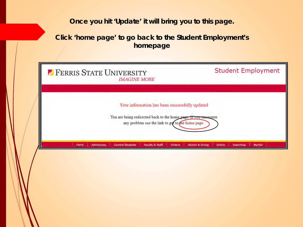### **Once you hit 'Update' it will bring you to this page.**

#### **Click 'home page' to go back to the Student Employment's homepage**

| <b><i>FERRIS STATE UNIVERSITY</i></b> | <b>IMAGINE MORE</b>                                                                                                                                                     | <b>Student Employment</b>                              |  |  |
|---------------------------------------|-------------------------------------------------------------------------------------------------------------------------------------------------------------------------|--------------------------------------------------------|--|--|
|                                       | Your information has been successfully updated<br>You are being redirected back to the home page. If you encounter<br>any problem use the link to get to the home page. |                                                        |  |  |
| Ferris<br>Admissions                  | <b>Faculty &amp; Staff</b><br><b>Current Students</b><br><b>Visitors</b>                                                                                                | Online<br>Alumni & Giving<br>Searching<br><b>MyFSU</b> |  |  |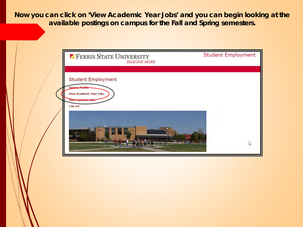**Now you can click on 'View Academic Year Jobs' and you can begin looking at the available postings on campus for the Fall and Spring semesters.** 

| <b>PERRIS STATE UNIVERSITY</b><br><b>IMAGINE MORE</b>                                | <b>Student Employment</b> |
|--------------------------------------------------------------------------------------|---------------------------|
| <b>Student Employment</b><br><b>Undate Profile</b><br><b>View Academic Year Jobs</b> |                           |
| <b>View Summer Jobs</b><br>Log out                                                   |                           |
| <b>ALL FIRE</b>                                                                      | $\mathbb{Z}$              |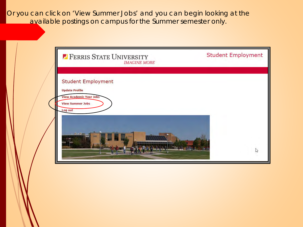Or you can click on 'View Summer Jobs' and you can begin looking at the available postings on campus for the Summer semester only.

| <b><i>P</i></b> FERRIS STATE UNIVERSITY<br><b>IMAGINE MORE</b>                                                  | <b>Student Employment</b> |
|-----------------------------------------------------------------------------------------------------------------|---------------------------|
| <b>Student Employment</b><br><b>Update Profile</b><br><b>View Academic Year Jobs</b><br><b>View Summer Jobs</b> |                           |
| Log out                                                                                                         | B                         |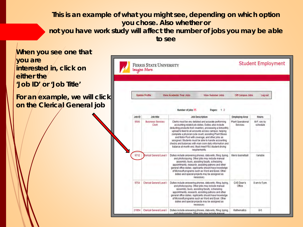**This is an example of what you might see, depending on which option you chose. Also whether or not you have work study will affect the number of jobs you may be able to see**

**When you see one that you are Student Employment FERRIS STATE UNIVERSITY interested in, click on Imagine More either the 'Job ID' or 'Job Title' Update Profile** View Academic Year Jobs **View Summer Jobs Off Campus Jobs** For an example, we will click Log out **on the Clerical General job**Number of jobs 15 Pages: 1.2 Job ID **Job title Employing Area Job Description Hours** 9596 **Business Services** Clerks must be very detailed and accurate performing **Plant Operational** M-F: vary by Clerk accounting related job duties. Duties also include Services schedule deducting products from inventory, processing a bimonthly upload to feed to all accounts across campus, helping complete a physical cycle count, assisting Plant Stores and Motor Pool with coverage, and other jobs as assigned. Students must be able to handle accounting checks and balances with mail room daily information and balance at month end. Must meet FSU student driving requirements 9712 **Ilerical General Level f** Duties include answering phones, data entry, filing, typing, Men's basketball Variable and photocopying. Other jobs may include manual assembly, tours, assisting faculty, scheduling appointments, research, assisting patrons and other general office duties. Applicants should have knowledge of Microsoft programs such as Word and Excel. Other duties and special projects may be assigned as necessary Clerical General Level I CAS Dean's 9754 Duties include answering phones, data entry, filing, typing, 8 am to 5 pm and photocopying. Other jobs may include manual Office assembly, tours, assisting faculty, scheduling appointments, research, assisting patrons and other general office duties. Applicants should have knowledge of Microsoft programs such as Word and Excel. Other duties and special projects may be assigned as 21854 Clerical General Level I Duties include answering phones, data entry, filing, typing, **Mathematics**  $8-5$ and photographing Citize labe may include many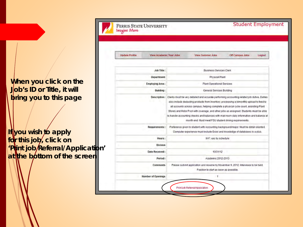When you click on the **Job's ID or Title, it will bring you to this page**

**If you wish to apply for this job, click on 'Print job Referral/Application'**  at the bottom of the screen

| <b>Update Profile</b> | View Academic Year Jobs   | <b>View Summer Jobs</b>                                                                                                                                                                                                                                                                                                                                                                                                                                                                                                                      | <b>Off Campus Jobs</b> | Logout |
|-----------------------|---------------------------|----------------------------------------------------------------------------------------------------------------------------------------------------------------------------------------------------------------------------------------------------------------------------------------------------------------------------------------------------------------------------------------------------------------------------------------------------------------------------------------------------------------------------------------------|------------------------|--------|
|                       | Job Title:                | <b>Business Services Clerk</b>                                                                                                                                                                                                                                                                                                                                                                                                                                                                                                               |                        |        |
|                       | <b>Department:</b>        | Physical Plant                                                                                                                                                                                                                                                                                                                                                                                                                                                                                                                               |                        |        |
|                       | <b>Employing Area:</b>    | <b>Plant Operational Services</b>                                                                                                                                                                                                                                                                                                                                                                                                                                                                                                            |                        |        |
|                       | <b>Building:</b>          | General Services Building                                                                                                                                                                                                                                                                                                                                                                                                                                                                                                                    |                        |        |
|                       |                           | Description: Clerks must be very detailed and accurate performing accounting related job duties. Duties<br>also include deducting products from inventory, processing a bimoribily upload to feed to<br>all accounts across campus, helping complete a physical cycle count, assisting Plant<br>Stores and Motor Pool with coverage, and other jobs as assigned. Students must be able<br>to handle accounting checks and balances with mail room daily information and balance at<br>month end. Must meet FSU student driving requirements. |                        |        |
|                       | <b>Requirements:</b>      | Preference given to student with Accounting background/major. Must be detail oriented.<br>Computer experience must include Excel and knowledge of databases is a plus.                                                                                                                                                                                                                                                                                                                                                                       |                        |        |
|                       | Hours:                    | M-F: vary by schedule                                                                                                                                                                                                                                                                                                                                                                                                                                                                                                                        |                        |        |
|                       | <b>Division</b>           |                                                                                                                                                                                                                                                                                                                                                                                                                                                                                                                                              |                        |        |
|                       | <b>Date Received:</b>     | 10/31/12                                                                                                                                                                                                                                                                                                                                                                                                                                                                                                                                     |                        |        |
|                       | Period:                   | Academic 2012-2013                                                                                                                                                                                                                                                                                                                                                                                                                                                                                                                           |                        |        |
|                       | <b>Comments</b>           | Please submit application and resume by November 9, 2012, Interviews to be held.<br>Position to start as soon as possible.                                                                                                                                                                                                                                                                                                                                                                                                                   |                        |        |
|                       | <b>Number of Openings</b> | 1                                                                                                                                                                                                                                                                                                                                                                                                                                                                                                                                            |                        |        |

Student Employment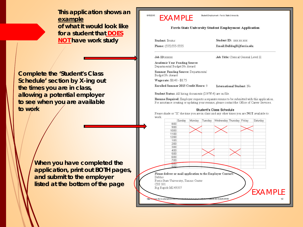**This application shows an example of what it would look like for a student that DOES NOT have work study**

**Complete the 'Student's Class Schedule' section by X-ing out the times you are in class, allowing a potential employer to see when you are available to work**

> **When you have completed the application, print out BOTH pages, and submit to the employer listed at the bottom of the page**

#### EXAMPLE

6/15/2015

Student Employment - Ferris State University

#### **Ferris State University Student Employment Application**

Student: Brutus

Phone: (555)555-5555

Job ID: xxxxx

Job Title: Clerical General Level II

**Academic Year Funding Source:** Departmental Budget No Award

Summer Funding Source: Departmental Budget No Award

Wage rate: \$8.40 - \$8.75

Enrolled Summer 2015 Credit Hours: 0

International Student: No

Student ID: xxx xx xxx

Email:BulldogB@ferris.edu

Student Status: All hiring documents (I-9/W-4) are on file.

Resume Required: Employer requests a separate resume to be submitted with this application. For assistance creating or updating your resume, please contact the Office of Career Services.

#### Student's Class Schedule

Please shade or "X" the time you are in class and any other times you are NOT available to work

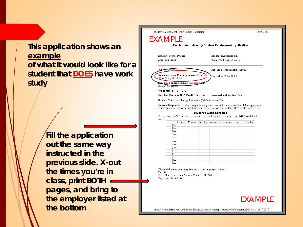## **This application shows an example of what it would look like for a student that DOES have work study**

**Fill the application out the same way instructed in the previous slide. X-out the times you're in class, print BOTH pages, and bring to the employer listed at the bottom**



https://wwws.ferris.edu/admissions/financialaid/studentemployment/jobs/createref.cfm?job... 6/16/2015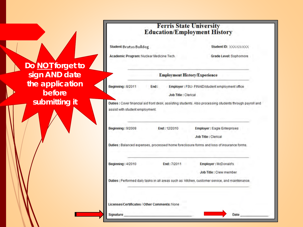| Do NOT forget to |
|------------------|
| sign AND date    |
| the application  |
| before           |
| submitting it    |

|                                     | <b>Ferris State University</b> |  |
|-------------------------------------|--------------------------------|--|
| <b>Education/Employment History</b> |                                |  |

| Student: Brutus Bulldog<br>Academic Program: Nuclear Medicine Tech. |              |                             | Student ID: XXX-XX-XXX<br>Grade Level: Sophomore                                                          |
|---------------------------------------------------------------------|--------------|-----------------------------|-----------------------------------------------------------------------------------------------------------|
|                                                                     |              |                             |                                                                                                           |
| <b>Beginning: 8/2011</b><br>End:                                    |              |                             | Employer : FSU- FINAID/student employment office                                                          |
|                                                                     |              | <b>Job Title : Clerical</b> |                                                                                                           |
| assist with student employment.                                     |              |                             | Duties : Cover financial aid front desk, assisting students. Also processing students through payroll and |
| Beginning: 9/2009                                                   | End: 12/2010 |                             | <b>Employer: Eagle Enterprises</b>                                                                        |
|                                                                     |              |                             | <b>Job Title: Clerical</b>                                                                                |
|                                                                     |              |                             | Duties : Balanced expenses, processed home foreclosure forms and loss of insurance forms.                 |
| <b>Beginning: 4/2010</b>                                            | End: 7/2011  |                             | Employer: McDonald's                                                                                      |
|                                                                     |              |                             | Job Title : Crew member                                                                                   |
|                                                                     |              |                             | Duties : Performed daily tasks in all areas such as: kitchen, customer service, and maintenance.          |
| Licenses/Certificates / Other Comments: None                        |              |                             |                                                                                                           |
|                                                                     |              |                             |                                                                                                           |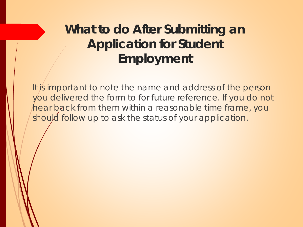# **What to do After Submitting an Application for Student Employment**

It is important to note the name and address of the person you delivered the form to for future reference. If you do not hear back from them within a reasonable time frame, you should follow up to ask the status of your application.